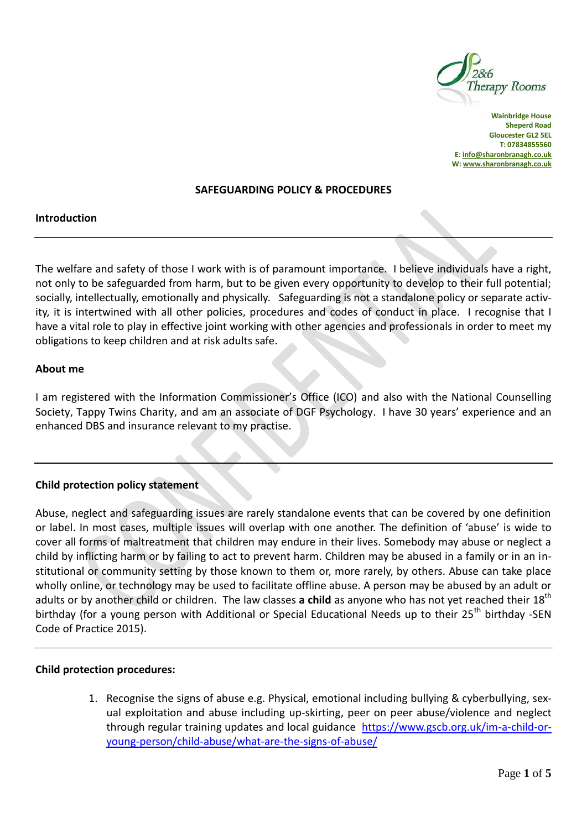

**Wainbridge House Sheperd Road Gloucester GL2 5EL T: 07834855560 E[: info@sharonbranagh.co.uk](mailto:info@sharonbranagh.co.uk) W[: www.sharonbranagh.co.uk](http://www.sharonbranagh.co.uk/)**

#### **SAFEGUARDING POLICY & PROCEDURES**

### **Introduction**

The welfare and safety of those I work with is of paramount importance. I believe individuals have a right, not only to be safeguarded from harm, but to be given every opportunity to develop to their full potential; socially, intellectually, emotionally and physically. Safeguarding is not a standalone policy or separate activity, it is intertwined with all other policies, procedures and codes of conduct in place. I recognise that I have a vital role to play in effective joint working with other agencies and professionals in order to meet my obligations to keep children and at risk adults safe.

### **About me**

I am registered with the Information Commissioner's Office (ICO) and also with the National Counselling Society, Tappy Twins Charity, and am an associate of DGF Psychology. I have 30 years' experience and an enhanced DBS and insurance relevant to my practise.

### **Child protection policy statement**

Abuse, neglect and safeguarding issues are rarely standalone events that can be covered by one definition or label. In most cases, multiple issues will overlap with one another. The definition of 'abuse' is wide to cover all forms of maltreatment that children may endure in their lives. Somebody may abuse or neglect a child by inflicting harm or by failing to act to prevent harm. Children may be abused in a family or in an institutional or community setting by those known to them or, more rarely, by others. Abuse can take place wholly online, or technology may be used to facilitate offline abuse. A person may be abused by an adult or adults or by another child or children. The law classes a child as anyone who has not yet reached their 18<sup>th</sup> birthday (for a young person with Additional or Special Educational Needs up to their 25<sup>th</sup> birthday -SEN Code of Practice 2015).

#### **Child protection procedures:**

1. Recognise the signs of abuse e.g. Physical, emotional including bullying & cyberbullying, sexual exploitation and abuse including up-skirting, peer on peer abuse/violence and neglect through regular training updates and local guidance [https://www.gscb.org.uk/im-a-child-or](https://www.gscb.org.uk/im-a-child-or-young-person/child-abuse/what-are-the-signs-of-abuse/)[young-person/child-abuse/what-are-the-signs-of-abuse/](https://www.gscb.org.uk/im-a-child-or-young-person/child-abuse/what-are-the-signs-of-abuse/)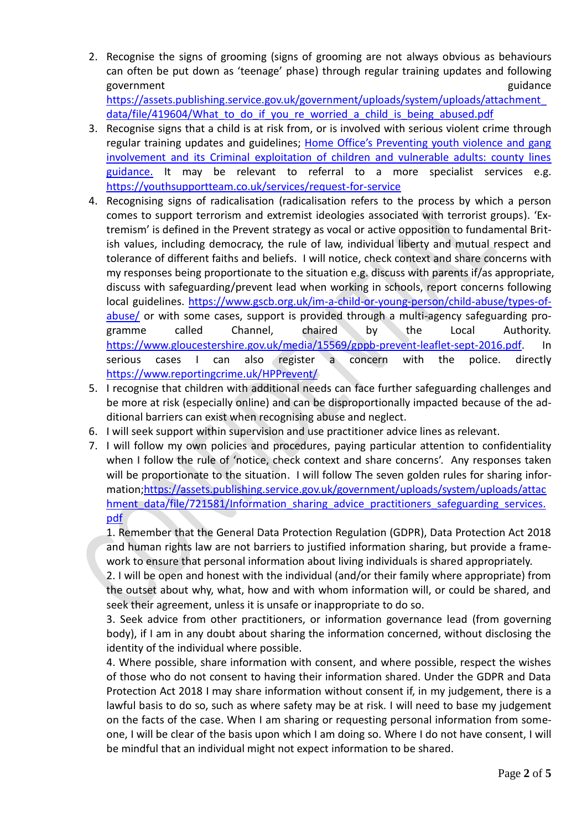2. Recognise the signs of grooming (signs of grooming are not always obvious as behaviours can often be put down as 'teenage' phase) through regular training updates and following government guidance general control of the set of the set of the set of the set of the set of the set of the set of the set of the set of the set of the set of the set of the set of the set of the set of the set of the set [https://assets.publishing.service.gov.uk/government/uploads/system/uploads/attachment\\_](https://assets.publishing.service.gov.uk/government/uploads/system/uploads/attachment_data/file/419604/What_to_do_if_you_re_worried_a_child_is_being_abused.pdf)

data/file/419604/What to do if you re worried a child is being abused.pdf

- 3. Recognise signs that a child is at risk from, or is involved with serious violent crime through regular training updates and guidelines; [Home Office's Preventing youth violence and gang](https://assets.publishing.service.gov.uk/government/uploads/system/uploads/attachment_data/file/741194/HOCountyLinesGuidanceSept2018.pdf)  [involvement and its Criminal exploitation of children and vulnerable adults: county lines](https://assets.publishing.service.gov.uk/government/uploads/system/uploads/attachment_data/file/741194/HOCountyLinesGuidanceSept2018.pdf)  [guidance.](https://assets.publishing.service.gov.uk/government/uploads/system/uploads/attachment_data/file/741194/HOCountyLinesGuidanceSept2018.pdf) It may be relevant to referral to a more specialist services e.g. <https://youthsupportteam.co.uk/services/request-for-service>
- 4. Recognising signs of radicalisation (radicalisation refers to the process by which a person comes to support terrorism and extremist ideologies associated with terrorist groups). 'Extremism' is defined in the Prevent strategy as vocal or active opposition to fundamental British values, including democracy, the rule of law, individual liberty and mutual respect and tolerance of different faiths and beliefs. I will notice, check context and share concerns with my responses being proportionate to the situation e.g. discuss with parents if/as appropriate, discuss with safeguarding/prevent lead when working in schools, report concerns following local guidelines. [https://www.gscb.org.uk/im-a-child-or-young-person/child-abuse/types-of](https://www.gscb.org.uk/im-a-child-or-young-person/child-abuse/types-of-abuse/)[abuse/](https://www.gscb.org.uk/im-a-child-or-young-person/child-abuse/types-of-abuse/) or with some cases, support is provided through a multi-agency safeguarding programme called Channel, chaired by the Local Authority. [https://www.gloucestershire.gov.uk/media/15569/gppb-prevent-leaflet-sept-2016.pdf.](https://www.gloucestershire.gov.uk/media/15569/gppb-prevent-leaflet-sept-2016.pdf) In serious cases I can also register a concern with the police. directly <https://www.reportingcrime.uk/HPPrevent/>
- 5. I recognise that children with additional needs can face further safeguarding challenges and be more at risk (especially online) and can be disproportionally impacted because of the additional barriers can exist when recognising abuse and neglect.
- 6. I will seek support within supervision and use practitioner advice lines as relevant.
- 7. I will follow my own policies and procedures, paying particular attention to confidentiality when I follow the rule of 'notice, check context and share concerns'. Any responses taken will be proportionate to the situation. I will follow The seven golden rules for sharing information[;https://assets.publishing.service.gov.uk/government/uploads/system/uploads/attac](https://assets.publishing.service.gov.uk/government/uploads/system/uploads/attachment_data/file/721581/Information_sharing_advice_practitioners_safeguarding_services.pdf) [hment\\_data/file/721581/Information\\_sharing\\_advice\\_practitioners\\_safeguarding\\_services.](https://assets.publishing.service.gov.uk/government/uploads/system/uploads/attachment_data/file/721581/Information_sharing_advice_practitioners_safeguarding_services.pdf) [pdf](https://assets.publishing.service.gov.uk/government/uploads/system/uploads/attachment_data/file/721581/Information_sharing_advice_practitioners_safeguarding_services.pdf)

1. Remember that the General Data Protection Regulation (GDPR), Data Protection Act 2018 and human rights law are not barriers to justified information sharing, but provide a framework to ensure that personal information about living individuals is shared appropriately.

2. I will be open and honest with the individual (and/or their family where appropriate) from the outset about why, what, how and with whom information will, or could be shared, and seek their agreement, unless it is unsafe or inappropriate to do so.

3. Seek advice from other practitioners, or information governance lead (from governing body), if I am in any doubt about sharing the information concerned, without disclosing the identity of the individual where possible.

4. Where possible, share information with consent, and where possible, respect the wishes of those who do not consent to having their information shared. Under the GDPR and Data Protection Act 2018 I may share information without consent if, in my judgement, there is a lawful basis to do so, such as where safety may be at risk. I will need to base my judgement on the facts of the case. When I am sharing or requesting personal information from someone, I will be clear of the basis upon which I am doing so. Where I do not have consent, I will be mindful that an individual might not expect information to be shared.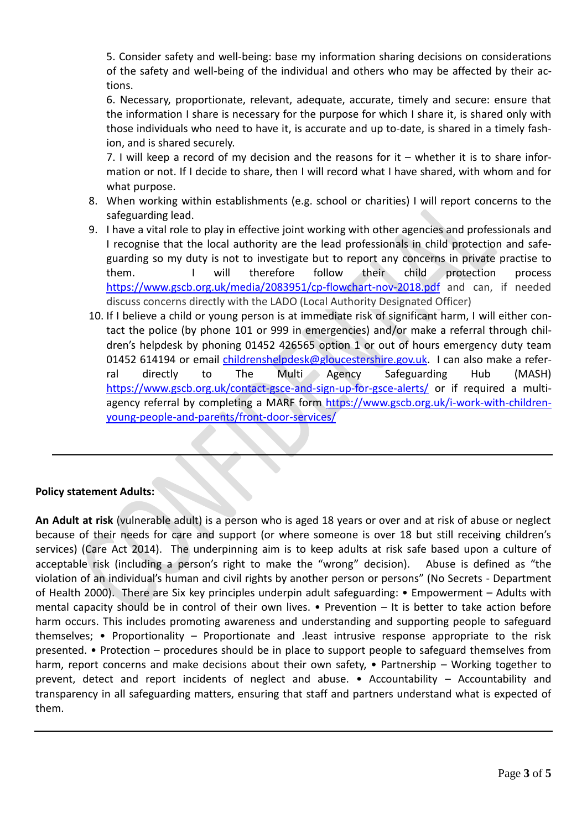5. Consider safety and well-being: base my information sharing decisions on considerations of the safety and well-being of the individual and others who may be affected by their actions.

6. Necessary, proportionate, relevant, adequate, accurate, timely and secure: ensure that the information I share is necessary for the purpose for which I share it, is shared only with those individuals who need to have it, is accurate and up to-date, is shared in a timely fashion, and is shared securely.

7. I will keep a record of my decision and the reasons for it – whether it is to share information or not. If I decide to share, then I will record what I have shared, with whom and for what purpose.

- 8. When working within establishments (e.g. school or charities) I will report concerns to the safeguarding lead.
- 9. I have a vital role to play in effective joint working with other agencies and professionals and I recognise that the local authority are the lead professionals in child protection and safeguarding so my duty is not to investigate but to report any concerns in private practise to them. I will therefore follow their child protection process <https://www.gscb.org.uk/media/2083951/cp-flowchart-nov-2018.pdf> and can, if needed discuss concerns directly with the LADO (Local Authority Designated Officer)
- 10. If I believe a child or young person is at immediate risk of significant harm, I will either contact the police (by phone 101 or 999 in emergencies) and/or make a referral through children's helpdesk by phoning 01452 426565 option 1 or out of hours emergency duty team 01452 614194 or email [childrenshelpdesk@gloucestershire.gov.uk.](mailto:childrenshelpdesk@gloucestershire.gov.uk) I can also make a referral directly to The Multi Agency Safeguarding Hub (MASH) <https://www.gscb.org.uk/contact-gsce-and-sign-up-for-gsce-alerts/> or if required a multiagency referral by completing a MARF form [https://www.gscb.org.uk/i-work-with-children](https://www.gscb.org.uk/i-work-with-children-young-people-and-parents/front-door-services/)[young-people-and-parents/front-door-services/](https://www.gscb.org.uk/i-work-with-children-young-people-and-parents/front-door-services/)

# **Policy statement Adults:**

**An Adult at risk** (vulnerable adult) is a person who is aged 18 years or over and at risk of abuse or neglect because of their needs for care and support (or where someone is over 18 but still receiving children's services) (Care Act 2014). The underpinning aim is to keep adults at risk safe based upon a culture of acceptable risk (including a person's right to make the "wrong" decision). Abuse is defined as "the violation of an individual's human and civil rights by another person or persons" (No Secrets - Department of Health 2000). There are Six key principles underpin adult safeguarding: • Empowerment – Adults with mental capacity should be in control of their own lives. • Prevention – It is better to take action before harm occurs. This includes promoting awareness and understanding and supporting people to safeguard themselves; • Proportionality – Proportionate and .least intrusive response appropriate to the risk presented. • Protection – procedures should be in place to support people to safeguard themselves from harm, report concerns and make decisions about their own safety, • Partnership – Working together to prevent, detect and report incidents of neglect and abuse. • Accountability – Accountability and transparency in all safeguarding matters, ensuring that staff and partners understand what is expected of them.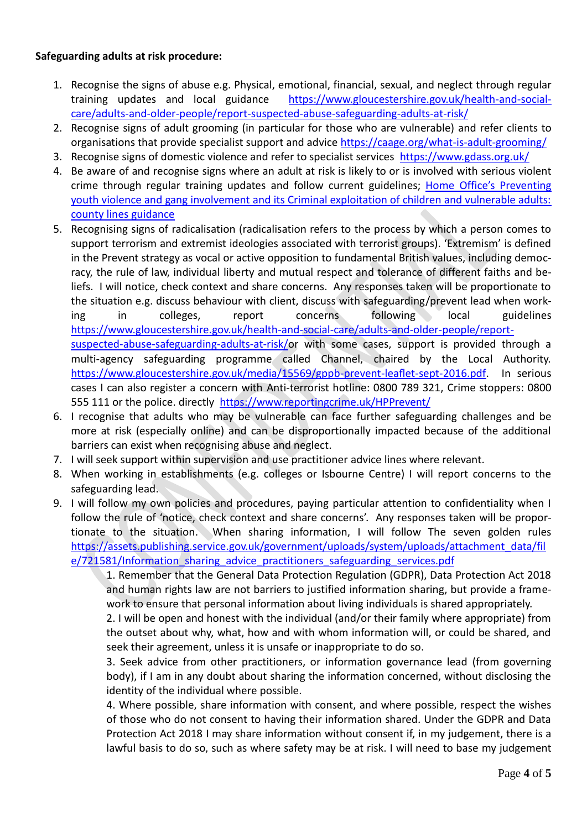## **Safeguarding adults at risk procedure:**

- 1. Recognise the signs of abuse e.g. Physical, emotional, financial, sexual, and neglect through regular training updates and local guidance [https://www.gloucestershire.gov.uk/health-and-social](https://www.gloucestershire.gov.uk/health-and-social-care/adults-and-older-people/report-suspected-abuse-safeguarding-adults-at-risk/)[care/adults-and-older-people/report-suspected-abuse-safeguarding-adults-at-risk/](https://www.gloucestershire.gov.uk/health-and-social-care/adults-and-older-people/report-suspected-abuse-safeguarding-adults-at-risk/)
- 2. Recognise signs of adult grooming (in particular for those who are vulnerable) and refer clients to organisations that provide specialist support and advice <https://caage.org/what-is-adult-grooming/>
- 3. Recognise signs of domestic violence and refer to specialist services<https://www.gdass.org.uk/>
- 4. Be aware of and recognise signs where an adult at risk is likely to or is involved with serious violent crime through regular training updates and follow current guidelines; Home Office's Preventing [youth violence and gang involvement and its Criminal exploitation of children and vulnerable adults:](https://assets.publishing.service.gov.uk/government/uploads/system/uploads/attachment_data/file/741194/HOCountyLinesGuidanceSept2018.pdf)  [county lines guidance](https://assets.publishing.service.gov.uk/government/uploads/system/uploads/attachment_data/file/741194/HOCountyLinesGuidanceSept2018.pdf)
- 5. Recognising signs of radicalisation (radicalisation refers to the process by which a person comes to support terrorism and extremist ideologies associated with terrorist groups). 'Extremism' is defined in the Prevent strategy as vocal or active opposition to fundamental British values, including democracy, the rule of law, individual liberty and mutual respect and tolerance of different faiths and beliefs. I will notice, check context and share concerns. Any responses taken will be proportionate to the situation e.g. discuss behaviour with client, discuss with safeguarding/prevent lead when working in colleges, report concerns following local guidelines [https://www.gloucestershire.gov.uk/health-and-social-care/adults-and-older-people/report](https://www.gloucestershire.gov.uk/health-and-social-care/adults-and-older-people/report-suspected-abuse-safeguarding-adults-at-risk/)[suspected-abuse-safeguarding-adults-at-risk/o](https://www.gloucestershire.gov.uk/health-and-social-care/adults-and-older-people/report-suspected-abuse-safeguarding-adults-at-risk/)r with some cases, support is provided through a multi-agency safeguarding programme called Channel, chaired by the Local Authority.

[https://www.gloucestershire.gov.uk/media/15569/gppb-prevent-leaflet-sept-2016.pdf.](https://www.gloucestershire.gov.uk/media/15569/gppb-prevent-leaflet-sept-2016.pdf) In serious cases I can also register a concern with Anti-terrorist hotline: 0800 789 321, Crime stoppers: 0800 555 111 or the police. directly <https://www.reportingcrime.uk/HPPrevent/>

- 6. I recognise that adults who may be vulnerable can face further safeguarding challenges and be more at risk (especially online) and can be disproportionally impacted because of the additional barriers can exist when recognising abuse and neglect.
- 7. I will seek support within supervision and use practitioner advice lines where relevant.
- 8. When working in establishments (e.g. colleges or Isbourne Centre) I will report concerns to the safeguarding lead.
- 9. I will follow my own policies and procedures, paying particular attention to confidentiality when I follow the rule of 'notice, check context and share concerns'. Any responses taken will be proportionate to the situation. When sharing information, I will follow The seven golden rules [https://assets.publishing.service.gov.uk/government/uploads/system/uploads/attachment\\_data/fil](https://assets.publishing.service.gov.uk/government/uploads/system/uploads/attachment_data/file/721581/Information_sharing_advice_practitioners_safeguarding_services.pdf) [e/721581/Information\\_sharing\\_advice\\_practitioners\\_safeguarding\\_services.pdf](https://assets.publishing.service.gov.uk/government/uploads/system/uploads/attachment_data/file/721581/Information_sharing_advice_practitioners_safeguarding_services.pdf)

1. Remember that the General Data Protection Regulation (GDPR), Data Protection Act 2018 and human rights law are not barriers to justified information sharing, but provide a framework to ensure that personal information about living individuals is shared appropriately.

2. I will be open and honest with the individual (and/or their family where appropriate) from the outset about why, what, how and with whom information will, or could be shared, and seek their agreement, unless it is unsafe or inappropriate to do so.

3. Seek advice from other practitioners, or information governance lead (from governing body), if I am in any doubt about sharing the information concerned, without disclosing the identity of the individual where possible.

4. Where possible, share information with consent, and where possible, respect the wishes of those who do not consent to having their information shared. Under the GDPR and Data Protection Act 2018 I may share information without consent if, in my judgement, there is a lawful basis to do so, such as where safety may be at risk. I will need to base my judgement